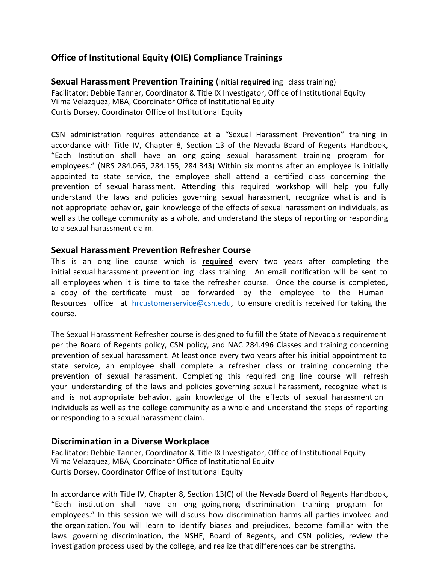# **Office of Institutional Equity (OIE) Compliance Trainings**

**Office of Institutional Equity (OIE) Compliance Trainings<br>Sexual Harassment Prevention Training (Initial required ing class training)** Facilitator: Debbie Tanner, Coordinator & Title IX Investigator, Office of Institutional Equity Vilma Velazquez, MBA, Coordinator Office of Institutional Equity Curtis Dorsey, Coordinator Office of Institutional Equity

CSN administration requires attendance at a "Sexual Harassment Prevention" training in accordance with Title IV, Chapter 8, Section 13 of the Nevada Board of Regents Handbook, "Each Institution shall have an ong going sexual harassment training program for employees." (NRS 284.065, 284.155, 284.343) Within six months after an employee is initially appointed to state service, the employee shall attend a certified class concerning the prevention of sexual harassment. Attending this required workshop will help you fully understand the laws and policies governing sexual harassment, recognize what is and is well as the college community as a whole, and understand the steps of reporting or responding to a sexual harassment claim. The set of the set of the set of the set of the set of the set of the set of the set of the set of the set of the set of the set of the set of the set of the set of the set of the set of the s not appropriate behavior, gain knowledge of the effects of sexual harassment on individuals, as

# **Sexual Harassment Prevention Refresher Course**

 This is an ong line course which is **required** every two years after completing the initial sexual harassment prevention ing class training. An email notification will be sent to a copy of the certificate must be forwarded by the employee to the Human Resources office at *hrcustomerservice@csn.edu,* to ensure credit is received for taking the all employees when it is time to take the refresher course. Once the course is completed, course.

The Sexual Harassment Refresher course is designed to fulfill the State of Nevada's requirement per the Board of Regents policy, CSN policy, and NAC 284.496 Classes and training concerning prevention of sexual harassment. At least once every two years after his initial appointment to state service, an employee shall complete a refresher class or training concerning the prevention of sexual harassment. Completing this required ong line course will refresh and is not appropriate behavior, gain knowledge of the effects of sexual harassment on individuals as well as the college community as a whole and understand the steps of reporting your understanding of the laws and policies governing sexual harassment, recognize what is or responding to a sexual harassment claim.

### **Discrimination in a Diverse Workplace**

Facilitator: Debbie Tanner, Coordinator & Title IX Investigator, Office of Institutional Equity Vilma Velazquez, MBA, Coordinator Office of Institutional Equity Curtis Dorsey, Coordinator Office of Institutional Equity

In accordance with Title IV, Chapter 8, Section 13(C) of the Nevada Board of Regents Handbook, "Each institution shall have an ong going nong discrimination training program for employees." In this session we will discuss how discrimination harms all parties involved and the organization. You will learn to identify biases and prejudices, become familiar with the laws governing discrimination, the NSHE, Board of Regents, and CSN policies, review the investigation process used by the college, and realize that differences can be strengths.